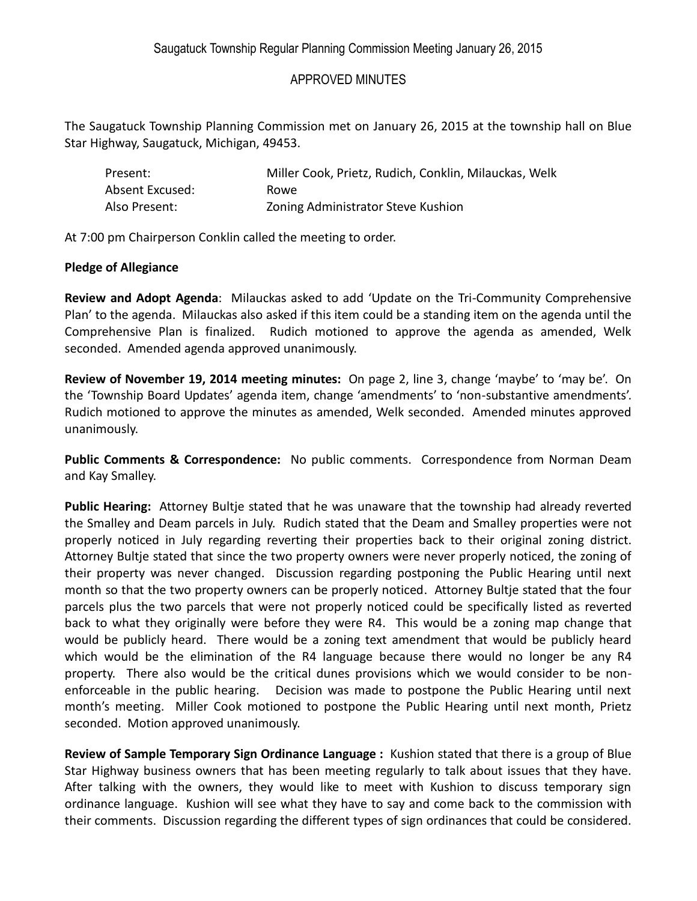## APPROVED MINUTES

The Saugatuck Township Planning Commission met on January 26, 2015 at the township hall on Blue Star Highway, Saugatuck, Michigan, 49453.

| Present:        | Miller Cook, Prietz, Rudich, Conklin, Milauckas, Welk |
|-----------------|-------------------------------------------------------|
| Absent Excused: | Rowe.                                                 |
| Also Present:   | Zoning Administrator Steve Kushion                    |

At 7:00 pm Chairperson Conklin called the meeting to order.

## **Pledge of Allegiance**

**Review and Adopt Agenda**: Milauckas asked to add 'Update on the Tri-Community Comprehensive Plan' to the agenda. Milauckas also asked if this item could be a standing item on the agenda until the Comprehensive Plan is finalized. Rudich motioned to approve the agenda as amended, Welk seconded. Amended agenda approved unanimously.

**Review of November 19, 2014 meeting minutes:** On page 2, line 3, change 'maybe' to 'may be'. On the 'Township Board Updates' agenda item, change 'amendments' to 'non-substantive amendments'. Rudich motioned to approve the minutes as amended, Welk seconded. Amended minutes approved unanimously.

**Public Comments & Correspondence:** No public comments. Correspondence from Norman Deam and Kay Smalley.

**Public Hearing:** Attorney Bultje stated that he was unaware that the township had already reverted the Smalley and Deam parcels in July. Rudich stated that the Deam and Smalley properties were not properly noticed in July regarding reverting their properties back to their original zoning district. Attorney Bultje stated that since the two property owners were never properly noticed, the zoning of their property was never changed. Discussion regarding postponing the Public Hearing until next month so that the two property owners can be properly noticed. Attorney Bultje stated that the four parcels plus the two parcels that were not properly noticed could be specifically listed as reverted back to what they originally were before they were R4. This would be a zoning map change that would be publicly heard. There would be a zoning text amendment that would be publicly heard which would be the elimination of the R4 language because there would no longer be any R4 property. There also would be the critical dunes provisions which we would consider to be nonenforceable in the public hearing. Decision was made to postpone the Public Hearing until next month's meeting. Miller Cook motioned to postpone the Public Hearing until next month, Prietz seconded. Motion approved unanimously.

**Review of Sample Temporary Sign Ordinance Language :** Kushion stated that there is a group of Blue Star Highway business owners that has been meeting regularly to talk about issues that they have. After talking with the owners, they would like to meet with Kushion to discuss temporary sign ordinance language. Kushion will see what they have to say and come back to the commission with their comments. Discussion regarding the different types of sign ordinances that could be considered.